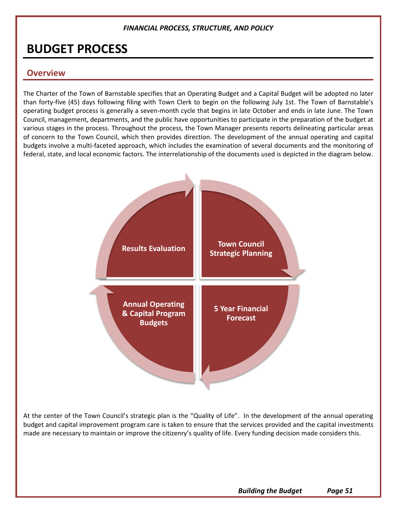# **BUDGET PROCESS**

# **Overview**

The Charter of the Town of Barnstable specifies that an Operating Budget and a Capital Budget will be adopted no later than forty-five (45) days following filing with Town Clerk to begin on the following July 1st. The Town of Barnstable's operating budget process is generally a seven-month cycle that begins in late October and ends in late June. The Town Council, management, departments, and the public have opportunities to participate in the preparation of the budget at various stages in the process. Throughout the process, the Town Manager presents reports delineating particular areas of concern to the Town Council, which then provides direction. The development of the annual operating and capital budgets involve a multi-faceted approach, which includes the examination of several documents and the monitoring of federal, state, and local economic factors. The interrelationship of the documents used is depicted in the diagram below.



At the center of the Town Council's strategic plan is the "Quality of Life". In the development of the annual operating budget and capital improvement program care is taken to ensure that the services provided and the capital investments made are necessary to maintain or improve the citizenry's quality of life. Every funding decision made considers this.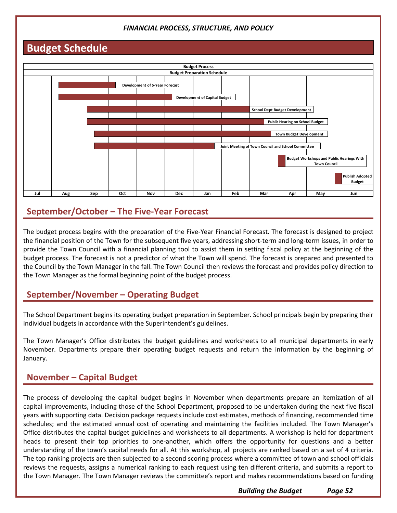# **Budget Schedule**



# **September/October – The Five-Year Forecast**

The budget process begins with the preparation of the Five-Year Financial Forecast. The forecast is designed to project the financial position of the Town for the subsequent five years, addressing short-term and long-term issues, in order to provide the Town Council with a financial planning tool to assist them in setting fiscal policy at the beginning of the budget process. The forecast is not a predictor of what the Town will spend. The forecast is prepared and presented to the Council by the Town Manager in the fall. The Town Council then reviews the forecast and provides policy direction to the Town Manager as the formal beginning point of the budget process.

# **September/November – Operating Budget**

The School Department begins its operating budget preparation in September. School principals begin by preparing their individual budgets in accordance with the Superintendent's guidelines.

The Town Manager's Office distributes the budget guidelines and worksheets to all municipal departments in early November. Departments prepare their operating budget requests and return the information by the beginning of January.

# **November – Capital Budget**

The process of developing the capital budget begins in November when departments prepare an itemization of all capital improvements, including those of the School Department, proposed to be undertaken during the next five fiscal years with supporting data. Decision package requests include cost estimates, methods of financing, recommended time schedules; and the estimated annual cost of operating and maintaining the facilities included. The Town Manager's Office distributes the capital budget guidelines and worksheets to all departments. A workshop is held for department heads to present their top priorities to one-another, which offers the opportunity for questions and a better understanding of the town's capital needs for all. At this workshop, all projects are ranked based on a set of 4 criteria. The top ranking projects are then subjected to a second scoring process where a committee of town and school officials reviews the requests, assigns a numerical ranking to each request using ten different criteria, and submits a report to the Town Manager. The Town Manager reviews the committee's report and makes recommendations based on funding

*Building the Budget Page 52*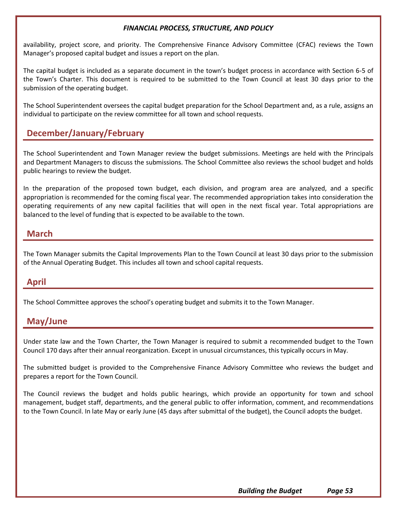availability, project score, and priority. The Comprehensive Finance Advisory Committee (CFAC) reviews the Town Manager's proposed capital budget and issues a report on the plan.

The capital budget is included as a separate document in the town's budget process in accordance with Section 6-5 of the Town's Charter. This document is required to be submitted to the Town Council at least 30 days prior to the submission of the operating budget.

The School Superintendent oversees the capital budget preparation for the School Department and, as a rule, assigns an individual to participate on the review committee for all town and school requests.

# **December/January/February**

The School Superintendent and Town Manager review the budget submissions. Meetings are held with the Principals and Department Managers to discuss the submissions. The School Committee also reviews the school budget and holds public hearings to review the budget.

In the preparation of the proposed town budget, each division, and program area are analyzed, and a specific appropriation is recommended for the coming fiscal year. The recommended appropriation takes into consideration the operating requirements of any new capital facilities that will open in the next fiscal year. Total appropriations are balanced to the level of funding that is expected to be available to the town.

# **March**

The Town Manager submits the Capital Improvements Plan to the Town Council at least 30 days prior to the submission of the Annual Operating Budget. This includes all town and school capital requests.

# **April**

The School Committee approves the school's operating budget and submits it to the Town Manager.

# **May/June**

Under state law and the Town Charter, the Town Manager is required to submit a recommended budget to the Town Council 170 days after their annual reorganization. Except in unusual circumstances, this typically occurs in May.

The submitted budget is provided to the Comprehensive Finance Advisory Committee who reviews the budget and prepares a report for the Town Council.

The Council reviews the budget and holds public hearings, which provide an opportunity for town and school management, budget staff, departments, and the general public to offer information, comment, and recommendations to the Town Council. In late May or early June (45 days after submittal of the budget), the Council adopts the budget.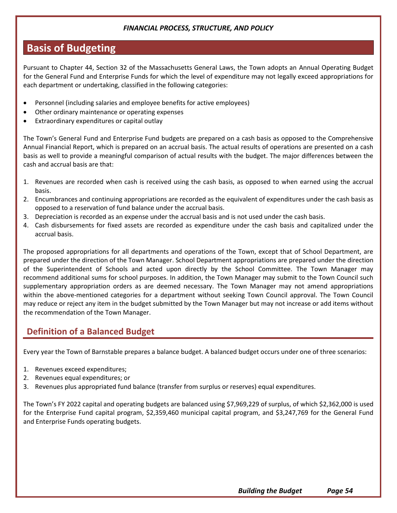# **Basis of Budgeting**

Pursuant to Chapter 44, Section 32 of the Massachusetts General Laws, the Town adopts an Annual Operating Budget for the General Fund and Enterprise Funds for which the level of expenditure may not legally exceed appropriations for each department or undertaking, classified in the following categories:

- Personnel (including salaries and employee benefits for active employees)
- Other ordinary maintenance or operating expenses
- Extraordinary expenditures or capital outlay

The Town's General Fund and Enterprise Fund budgets are prepared on a cash basis as opposed to the Comprehensive Annual Financial Report, which is prepared on an accrual basis. The actual results of operations are presented on a cash basis as well to provide a meaningful comparison of actual results with the budget. The major differences between the cash and accrual basis are that:

- 1. Revenues are recorded when cash is received using the cash basis, as opposed to when earned using the accrual basis.
- 2. Encumbrances and continuing appropriations are recorded as the equivalent of expenditures under the cash basis as opposed to a reservation of fund balance under the accrual basis.
- 3. Depreciation is recorded as an expense under the accrual basis and is not used under the cash basis.
- 4. Cash disbursements for fixed assets are recorded as expenditure under the cash basis and capitalized under the accrual basis.

The proposed appropriations for all departments and operations of the Town, except that of School Department, are prepared under the direction of the Town Manager. School Department appropriations are prepared under the direction of the Superintendent of Schools and acted upon directly by the School Committee. The Town Manager may recommend additional sums for school purposes. In addition, the Town Manager may submit to the Town Council such supplementary appropriation orders as are deemed necessary. The Town Manager may not amend appropriations within the above-mentioned categories for a department without seeking Town Council approval. The Town Council may reduce or reject any item in the budget submitted by the Town Manager but may not increase or add items without the recommendation of the Town Manager.

# **Definition of a Balanced Budget**

Every year the Town of Barnstable prepares a balance budget. A balanced budget occurs under one of three scenarios:

- 1. Revenues exceed expenditures;
- 2. Revenues equal expenditures; or
- 3. Revenues plus appropriated fund balance (transfer from surplus or reserves) equal expenditures.

The Town's FY 2022 capital and operating budgets are balanced using \$7,969,229 of surplus, of which \$2,362,000 is used for the Enterprise Fund capital program, \$2,359,460 municipal capital program, and \$3,247,769 for the General Fund and Enterprise Funds operating budgets.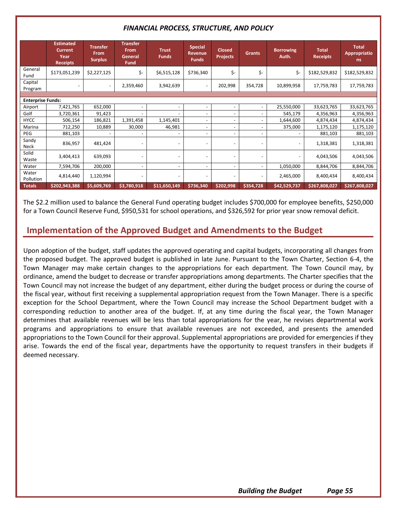|                          | <b>Estimated</b><br><b>Current</b><br>Year<br><b>Receipts</b> | <b>Transfer</b><br>From<br><b>Surplus</b> | <b>Transfer</b><br>From<br>General<br><b>Fund</b> | <b>Trust</b><br><b>Funds</b> | <b>Special</b><br><b>Revenue</b><br><b>Funds</b> | <b>Closed</b><br><b>Projects</b> | <b>Grants</b>            | <b>Borrowing</b><br>Auth. | <b>Total</b><br><b>Receipts</b> | <b>Total</b><br><b>Appropriatio</b><br>ns. |
|--------------------------|---------------------------------------------------------------|-------------------------------------------|---------------------------------------------------|------------------------------|--------------------------------------------------|----------------------------------|--------------------------|---------------------------|---------------------------------|--------------------------------------------|
| General<br>Fund          | \$173,051,239                                                 | \$2,227,125                               | \$-                                               | \$6,515,128                  | \$736,340                                        | \$-                              | \$-                      | \$-                       | \$182,529,832                   | \$182,529,832                              |
| Capital<br>Program       | $\overline{\phantom{a}}$                                      | $\overline{\phantom{a}}$                  | 2,359,460                                         | 3,942,639                    |                                                  | 202,998                          | 354,728                  | 10,899,958                | 17,759,783                      | 17,759,783                                 |
|                          |                                                               |                                           |                                                   |                              |                                                  |                                  |                          |                           |                                 |                                            |
| <b>Enterprise Funds:</b> |                                                               |                                           |                                                   |                              |                                                  |                                  |                          |                           |                                 |                                            |
| Airport                  | 7,421,765                                                     | 652,000                                   |                                                   | $\overline{\phantom{a}}$     | ٠                                                |                                  |                          | 25,550,000                | 33,623,765                      | 33,623,765                                 |
| Golf                     | 3,720,361                                                     | 91,423                                    |                                                   |                              | $\overline{\phantom{0}}$                         | ٠                                |                          | 545,179                   | 4,356,963                       | 4,356,963                                  |
| <b>HYCC</b>              | 506,154                                                       | 186,821                                   | 1,391,458                                         | 1,145,401                    | -                                                | $\overline{\phantom{0}}$         | $\overline{\phantom{0}}$ | 1,644,600                 | 4,874,434                       | 4,874,434                                  |
| Marina                   | 712,250                                                       | 10,889                                    | 30,000                                            | 46,981                       | $\overline{\phantom{a}}$                         | $\overline{\phantom{a}}$         | $\overline{\phantom{a}}$ | 375,000                   | 1,175,120                       | 1,175,120                                  |
| PEG                      | 881,103                                                       |                                           |                                                   |                              | $\overline{\phantom{0}}$                         |                                  |                          | $\overline{\phantom{a}}$  | 881,103                         | 881,103                                    |
| Sandy<br><b>Neck</b>     | 836,957                                                       | 481,424                                   |                                                   |                              |                                                  |                                  |                          |                           | 1,318,381                       | 1,318,381                                  |
| Solid<br>Waste           | 3,404,413                                                     | 639.093                                   |                                                   |                              |                                                  | $\overline{a}$                   |                          | $\overline{\phantom{a}}$  | 4,043,506                       | 4,043,506                                  |
| Water                    | 7,594,706                                                     | 200,000                                   | $\overline{\phantom{a}}$                          | $\overline{\phantom{a}}$     | $\overline{\phantom{0}}$                         | $\overline{\phantom{0}}$         | $\overline{\phantom{a}}$ | 1,050,000                 | 8,844,706                       | 8,844,706                                  |
| Water<br>Pollution       | 4,814,440                                                     | 1,120,994                                 |                                                   | $\overline{\phantom{a}}$     | -                                                | ٠                                |                          | 2,465,000                 | 8,400,434                       | 8,400,434                                  |
| <b>Totals</b>            | \$202,943,388                                                 | \$5,609,769                               | \$3,780,918                                       | \$11,650,149                 | \$736,340                                        | \$202,998                        | \$354,728                | \$42,529,737              | \$267,808,027                   | \$267,808,027                              |

The \$2.2 million used to balance the General Fund operating budget includes \$700,000 for employee benefits, \$250,000 for a Town Council Reserve Fund, \$950,531 for school operations, and \$326,592 for prior year snow removal deficit.

# **Implementation of the Approved Budget and Amendments to the Budget**

Upon adoption of the budget, staff updates the approved operating and capital budgets, incorporating all changes from the proposed budget. The approved budget is published in late June. Pursuant to the Town Charter, Section 6-4, the Town Manager may make certain changes to the appropriations for each department. The Town Council may, by ordinance, amend the budget to decrease or transfer appropriations among departments. The Charter specifies that the Town Council may not increase the budget of any department, either during the budget process or during the course of the fiscal year, without first receiving a supplemental appropriation request from the Town Manager. There is a specific exception for the School Department, where the Town Council may increase the School Department budget with a corresponding reduction to another area of the budget. If, at any time during the fiscal year, the Town Manager determines that available revenues will be less than total appropriations for the year, he revises departmental work programs and appropriations to ensure that available revenues are not exceeded, and presents the amended appropriations to the Town Council for their approval. Supplemental appropriations are provided for emergencies if they arise. Towards the end of the fiscal year, departments have the opportunity to request transfers in their budgets if deemed necessary.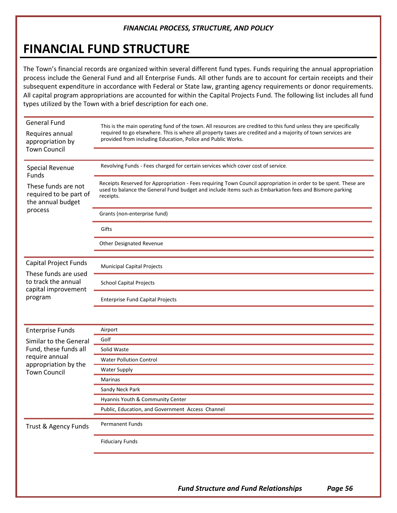# **FINANCIAL FUND STRUCTURE**

The Town's financial records are organized within several different fund types. Funds requiring the annual appropriation process include the General Fund and all Enterprise Funds. All other funds are to account for certain receipts and their subsequent expenditure in accordance with Federal or State law, granting agency requirements or donor requirements. All capital program appropriations are accounted for within the Capital Projects Fund. The following list includes all fund types utilized by the Town with a brief description for each one.

| <b>General Fund</b>                                                | This is the main operating fund of the town. All resources are credited to this fund unless they are specifically<br>required to go elsewhere. This is where all property taxes are credited and a majority of town services are<br>provided from including Education, Police and Public Works. |  |  |  |  |  |  |
|--------------------------------------------------------------------|-------------------------------------------------------------------------------------------------------------------------------------------------------------------------------------------------------------------------------------------------------------------------------------------------|--|--|--|--|--|--|
| Requires annual<br>appropriation by<br><b>Town Council</b>         |                                                                                                                                                                                                                                                                                                 |  |  |  |  |  |  |
| <b>Special Revenue</b><br>Funds                                    | Revolving Funds - Fees charged for certain services which cover cost of service.                                                                                                                                                                                                                |  |  |  |  |  |  |
| These funds are not<br>required to be part of<br>the annual budget | Receipts Reserved for Appropriation - Fees requiring Town Council appropriation in order to be spent. These are<br>used to balance the General Fund budget and include items such as Embarkation fees and Bismore parking<br>receipts.                                                          |  |  |  |  |  |  |
| process                                                            | Grants (non-enterprise fund)                                                                                                                                                                                                                                                                    |  |  |  |  |  |  |
|                                                                    | Gifts                                                                                                                                                                                                                                                                                           |  |  |  |  |  |  |
|                                                                    | Other Designated Revenue                                                                                                                                                                                                                                                                        |  |  |  |  |  |  |
|                                                                    |                                                                                                                                                                                                                                                                                                 |  |  |  |  |  |  |
| <b>Capital Project Funds</b>                                       | <b>Municipal Capital Projects</b>                                                                                                                                                                                                                                                               |  |  |  |  |  |  |
| These funds are used<br>to track the annual<br>capital improvement | <b>School Capital Projects</b>                                                                                                                                                                                                                                                                  |  |  |  |  |  |  |
| program                                                            | <b>Enterprise Fund Capital Projects</b>                                                                                                                                                                                                                                                         |  |  |  |  |  |  |
|                                                                    |                                                                                                                                                                                                                                                                                                 |  |  |  |  |  |  |
| <b>Enterprise Funds</b>                                            | Airport                                                                                                                                                                                                                                                                                         |  |  |  |  |  |  |
| Similar to the General                                             | Golf                                                                                                                                                                                                                                                                                            |  |  |  |  |  |  |
| Fund, these funds all                                              | Solid Waste                                                                                                                                                                                                                                                                                     |  |  |  |  |  |  |
| require annual                                                     | <b>Water Pollution Control</b>                                                                                                                                                                                                                                                                  |  |  |  |  |  |  |
| appropriation by the<br><b>Town Council</b>                        | <b>Water Supply</b>                                                                                                                                                                                                                                                                             |  |  |  |  |  |  |
|                                                                    | Marinas                                                                                                                                                                                                                                                                                         |  |  |  |  |  |  |
|                                                                    | Sandy Neck Park                                                                                                                                                                                                                                                                                 |  |  |  |  |  |  |
|                                                                    | Hyannis Youth & Community Center                                                                                                                                                                                                                                                                |  |  |  |  |  |  |
|                                                                    | Public, Education, and Government Access Channel                                                                                                                                                                                                                                                |  |  |  |  |  |  |
| Trust & Agency Funds                                               | Permanent Funds                                                                                                                                                                                                                                                                                 |  |  |  |  |  |  |
|                                                                    | <b>Fiduciary Funds</b>                                                                                                                                                                                                                                                                          |  |  |  |  |  |  |
|                                                                    |                                                                                                                                                                                                                                                                                                 |  |  |  |  |  |  |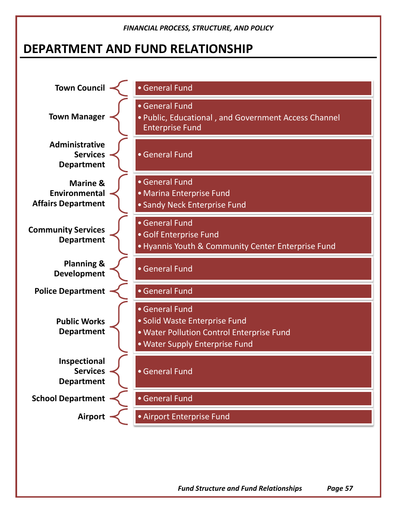# **DEPARTMENT AND FUND RELATIONSHIP**



*Fund Structure and Fund Relationships Page 57*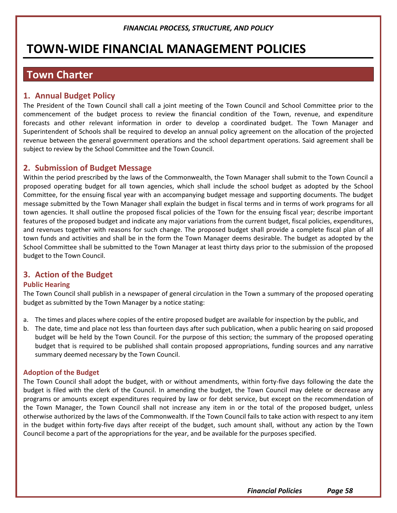# **TOWN-WIDE FINANCIAL MANAGEMENT POLICIES**

# **Town Charter**

# **1. Annual Budget Policy**

The President of the Town Council shall call a joint meeting of the Town Council and School Committee prior to the commencement of the budget process to review the financial condition of the Town, revenue, and expenditure forecasts and other relevant information in order to develop a coordinated budget. The Town Manager and Superintendent of Schools shall be required to develop an annual policy agreement on the allocation of the projected revenue between the general government operations and the school department operations. Said agreement shall be subject to review by the School Committee and the Town Council.

## **2. Submission of Budget Message**

Within the period prescribed by the laws of the Commonwealth, the Town Manager shall submit to the Town Council a proposed operating budget for all town agencies, which shall include the school budget as adopted by the School Committee, for the ensuing fiscal year with an accompanying budget message and supporting documents. The budget message submitted by the Town Manager shall explain the budget in fiscal terms and in terms of work programs for all town agencies. It shall outline the proposed fiscal policies of the Town for the ensuing fiscal year; describe important features of the proposed budget and indicate any major variations from the current budget, fiscal policies, expenditures, and revenues together with reasons for such change. The proposed budget shall provide a complete fiscal plan of all town funds and activities and shall be in the form the Town Manager deems desirable. The budget as adopted by the School Committee shall be submitted to the Town Manager at least thirty days prior to the submission of the proposed budget to the Town Council.

# **3. Action of the Budget**

#### **Public Hearing**

The Town Council shall publish in a newspaper of general circulation in the Town a summary of the proposed operating budget as submitted by the Town Manager by a notice stating:

- a. The times and places where copies of the entire proposed budget are available for inspection by the public, and
- b. The date, time and place not less than fourteen days after such publication, when a public hearing on said proposed budget will be held by the Town Council. For the purpose of this section; the summary of the proposed operating budget that is required to be published shall contain proposed appropriations, funding sources and any narrative summary deemed necessary by the Town Council.

#### **Adoption of the Budget**

The Town Council shall adopt the budget, with or without amendments, within forty-five days following the date the budget is filed with the clerk of the Council. In amending the budget, the Town Council may delete or decrease any programs or amounts except expenditures required by law or for debt service, but except on the recommendation of the Town Manager, the Town Council shall not increase any item in or the total of the proposed budget, unless otherwise authorized by the laws of the Commonwealth. If the Town Council fails to take action with respect to any item in the budget within forty-five days after receipt of the budget, such amount shall, without any action by the Town Council become a part of the appropriations for the year, and be available for the purposes specified.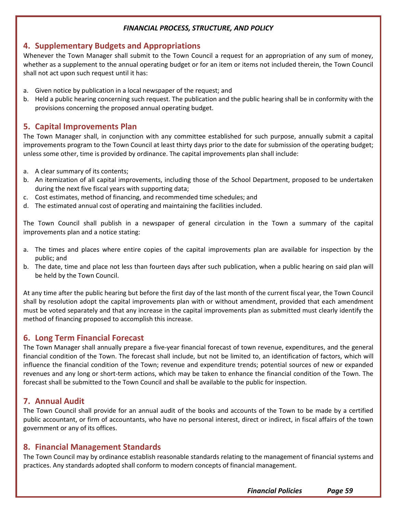## **4. Supplementary Budgets and Appropriations**

Whenever the Town Manager shall submit to the Town Council a request for an appropriation of any sum of money, whether as a supplement to the annual operating budget or for an item or items not included therein, the Town Council shall not act upon such request until it has:

- a. Given notice by publication in a local newspaper of the request; and
- b. Held a public hearing concerning such request. The publication and the public hearing shall be in conformity with the provisions concerning the proposed annual operating budget.

## **5. Capital Improvements Plan**

The Town Manager shall, in conjunction with any committee established for such purpose, annually submit a capital improvements program to the Town Council at least thirty days prior to the date for submission of the operating budget; unless some other, time is provided by ordinance. The capital improvements plan shall include:

- a. A clear summary of its contents;
- b. An itemization of all capital improvements, including those of the School Department, proposed to be undertaken during the next five fiscal years with supporting data;
- c. Cost estimates, method of financing, and recommended time schedules; and
- d. The estimated annual cost of operating and maintaining the facilities included.

The Town Council shall publish in a newspaper of general circulation in the Town a summary of the capital improvements plan and a notice stating:

- a. The times and places where entire copies of the capital improvements plan are available for inspection by the public; and
- b. The date, time and place not less than fourteen days after such publication, when a public hearing on said plan will be held by the Town Council.

At any time after the public hearing but before the first day of the last month of the current fiscal year, the Town Council shall by resolution adopt the capital improvements plan with or without amendment, provided that each amendment must be voted separately and that any increase in the capital improvements plan as submitted must clearly identify the method of financing proposed to accomplish this increase.

## **6. Long Term Financial Forecast**

The Town Manager shall annually prepare a five-year financial forecast of town revenue, expenditures, and the general financial condition of the Town. The forecast shall include, but not be limited to, an identification of factors, which will influence the financial condition of the Town; revenue and expenditure trends; potential sources of new or expanded revenues and any long or short-term actions, which may be taken to enhance the financial condition of the Town. The forecast shall be submitted to the Town Council and shall be available to the public for inspection.

# **7. Annual Audit**

The Town Council shall provide for an annual audit of the books and accounts of the Town to be made by a certified public accountant, or firm of accountants, who have no personal interest, direct or indirect, in fiscal affairs of the town government or any of its offices.

## **8. Financial Management Standards**

The Town Council may by ordinance establish reasonable standards relating to the management of financial systems and practices. Any standards adopted shall conform to modern concepts of financial management.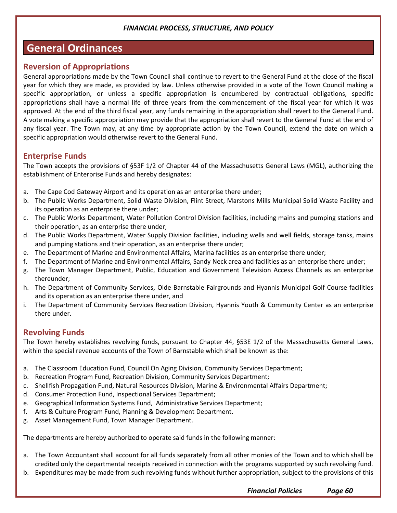# **General Ordinances**

## **Reversion of Appropriations**

General appropriations made by the Town Council shall continue to revert to the General Fund at the close of the fiscal year for which they are made, as provided by law. Unless otherwise provided in a vote of the Town Council making a specific appropriation, or unless a specific appropriation is encumbered by contractual obligations, specific appropriations shall have a normal life of three years from the commencement of the fiscal year for which it was approved. At the end of the third fiscal year, any funds remaining in the appropriation shall revert to the General Fund. A vote making a specific appropriation may provide that the appropriation shall revert to the General Fund at the end of any fiscal year. The Town may, at any time by appropriate action by the Town Council, extend the date on which a specific appropriation would otherwise revert to the General Fund.

# **Enterprise Funds**

The Town accepts the provisions of §53F 1/2 of Chapter 44 of the Massachusetts General Laws (MGL), authorizing the establishment of Enterprise Funds and hereby designates:

- a. The Cape Cod Gateway Airport and its operation as an enterprise there under;
- b. The Public Works Department, Solid Waste Division, Flint Street, Marstons Mills Municipal Solid Waste Facility and its operation as an enterprise there under;
- c. The Public Works Department, Water Pollution Control Division facilities, including mains and pumping stations and their operation, as an enterprise there under;
- d. The Public Works Department, Water Supply Division facilities, including wells and well fields, storage tanks, mains and pumping stations and their operation, as an enterprise there under;
- e. The Department of Marine and Environmental Affairs, Marina facilities as an enterprise there under;
- f. The Department of Marine and Environmental Affairs, Sandy Neck area and facilities as an enterprise there under;
- g. The Town Manager Department, Public, Education and Government Television Access Channels as an enterprise thereunder;
- h. The Department of Community Services, Olde Barnstable Fairgrounds and Hyannis Municipal Golf Course facilities and its operation as an enterprise there under, and
- i. The Department of Community Services Recreation Division, Hyannis Youth & Community Center as an enterprise there under.

# **Revolving Funds**

The Town hereby establishes revolving funds, pursuant to Chapter 44, §53E 1/2 of the Massachusetts General Laws, within the special revenue accounts of the Town of Barnstable which shall be known as the:

- a. The Classroom Education Fund, Council On Aging Division, Community Services Department;
- b. Recreation Program Fund, Recreation Division, Community Services Department;
- c. Shellfish Propagation Fund, Natural Resources Division, Marine & Environmental Affairs Department;
- d. Consumer Protection Fund, Inspectional Services Department;
- e. Geographical Information Systems Fund, Administrative Services Department;
- f. Arts & Culture Program Fund, Planning & Development Department.
- g. Asset Management Fund, Town Manager Department.

The departments are hereby authorized to operate said funds in the following manner:

- a. The Town Accountant shall account for all funds separately from all other monies of the Town and to which shall be credited only the departmental receipts received in connection with the programs supported by such revolving fund.
- b. Expenditures may be made from such revolving funds without further appropriation, subject to the provisions of this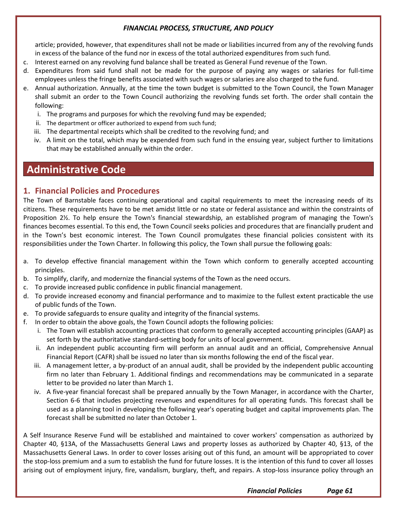article; provided, however, that expenditures shall not be made or liabilities incurred from any of the revolving funds in excess of the balance of the fund nor in excess of the total authorized expenditures from such fund.

- c. Interest earned on any revolving fund balance shall be treated as General Fund revenue of the Town.
- d. Expenditures from said fund shall not be made for the purpose of paying any wages or salaries for full-time employees unless the fringe benefits associated with such wages or salaries are also charged to the fund.
- e. Annual authorization. Annually, at the time the town budget is submitted to the Town Council, the Town Manager shall submit an order to the Town Council authorizing the revolving funds set forth. The order shall contain the following:
	- i. The programs and purposes for which the revolving fund may be expended;
	- ii. The department or officer authorized to expend from such fund;
	- iii. The departmental receipts which shall be credited to the revolving fund; and
	- iv. A limit on the total, which may be expended from such fund in the ensuing year, subject further to limitations that may be established annually within the order.

# **Administrative Code**

## **1. Financial Policies and Procedures**

The Town of Barnstable faces continuing operational and capital requirements to meet the increasing needs of its citizens. These requirements have to be met amidst little or no state or federal assistance and within the constraints of Proposition 2½. To help ensure the Town's financial stewardship, an established program of managing the Town's finances becomes essential. To this end, the Town Council seeks policies and procedures that are financially prudent and in the Town's best economic interest. The Town Council promulgates these financial policies consistent with its responsibilities under the Town Charter. In following this policy, the Town shall pursue the following goals:

- a. To develop effective financial management within the Town which conform to generally accepted accounting principles.
- b. To simplify, clarify, and modernize the financial systems of the Town as the need occurs.
- c. To provide increased public confidence in public financial management.
- d. To provide increased economy and financial performance and to maximize to the fullest extent practicable the use of public funds of the Town.
- e. To provide safeguards to ensure quality and integrity of the financial systems.
- f. In order to obtain the above goals, the Town Council adopts the following policies:
	- i. The Town will establish accounting practices that conform to generally accepted accounting principles (GAAP) as set forth by the authoritative standard-setting body for units of local government.
	- ii. An independent public accounting firm will perform an annual audit and an official, Comprehensive Annual Financial Report (CAFR) shall be issued no later than six months following the end of the fiscal year.
	- iii. A management letter, a by-product of an annual audit, shall be provided by the independent public accounting firm no later than February 1. Additional findings and recommendations may be communicated in a separate letter to be provided no later than March 1.
	- iv. A five-year financial forecast shall be prepared annually by the Town Manager, in accordance with the Charter, Section 6-6 that includes projecting revenues and expenditures for all operating funds. This forecast shall be used as a planning tool in developing the following year's operating budget and capital improvements plan. The forecast shall be submitted no later than October 1.

A Self Insurance Reserve Fund will be established and maintained to cover workers' compensation as authorized by Chapter 40, §13A, of the Massachusetts General Laws and property losses as authorized by Chapter 40, §13, of the Massachusetts General Laws. In order to cover losses arising out of this fund, an amount will be appropriated to cover the stop-loss premium and a sum to establish the fund for future losses. It is the intention of this fund to cover all losses arising out of employment injury, fire, vandalism, burglary, theft, and repairs. A stop-loss insurance policy through an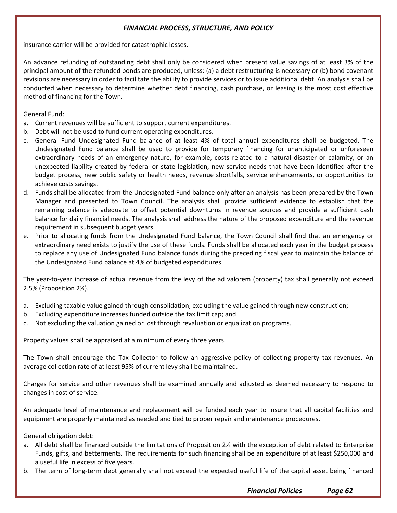insurance carrier will be provided for catastrophic losses.

An advance refunding of outstanding debt shall only be considered when present value savings of at least 3% of the principal amount of the refunded bonds are produced, unless: (a) a debt restructuring is necessary or (b) bond covenant revisions are necessary in order to facilitate the ability to provide services or to issue additional debt. An analysis shall be conducted when necessary to determine whether debt financing, cash purchase, or leasing is the most cost effective method of financing for the Town.

General Fund:

- a. Current revenues will be sufficient to support current expenditures.
- b. Debt will not be used to fund current operating expenditures.
- c. General Fund Undesignated Fund balance of at least 4% of total annual expenditures shall be budgeted. The Undesignated Fund balance shall be used to provide for temporary financing for unanticipated or unforeseen extraordinary needs of an emergency nature, for example, costs related to a natural disaster or calamity, or an unexpected liability created by federal or state legislation, new service needs that have been identified after the budget process, new public safety or health needs, revenue shortfalls, service enhancements, or opportunities to achieve costs savings.
- d. Funds shall be allocated from the Undesignated Fund balance only after an analysis has been prepared by the Town Manager and presented to Town Council. The analysis shall provide sufficient evidence to establish that the remaining balance is adequate to offset potential downturns in revenue sources and provide a sufficient cash balance for daily financial needs. The analysis shall address the nature of the proposed expenditure and the revenue requirement in subsequent budget years.
- e. Prior to allocating funds from the Undesignated Fund balance, the Town Council shall find that an emergency or extraordinary need exists to justify the use of these funds. Funds shall be allocated each year in the budget process to replace any use of Undesignated Fund balance funds during the preceding fiscal year to maintain the balance of the Undesignated Fund balance at 4% of budgeted expenditures.

The year-to-year increase of actual revenue from the levy of the ad valorem (property) tax shall generally not exceed 2.5% (Proposition 2½).

- a. Excluding taxable value gained through consolidation; excluding the value gained through new construction;
- b. Excluding expenditure increases funded outside the tax limit cap; and
- c. Not excluding the valuation gained or lost through revaluation or equalization programs.

Property values shall be appraised at a minimum of every three years.

The Town shall encourage the Tax Collector to follow an aggressive policy of collecting property tax revenues. An average collection rate of at least 95% of current levy shall be maintained.

Charges for service and other revenues shall be examined annually and adjusted as deemed necessary to respond to changes in cost of service.

An adequate level of maintenance and replacement will be funded each year to insure that all capital facilities and equipment are properly maintained as needed and tied to proper repair and maintenance procedures.

General obligation debt:

- a. All debt shall be financed outside the limitations of Proposition 2½ with the exception of debt related to Enterprise Funds, gifts, and betterments. The requirements for such financing shall be an expenditure of at least \$250,000 and a useful life in excess of five years.
- b. The term of long-term debt generally shall not exceed the expected useful life of the capital asset being financed

*Financial Policies Page 62*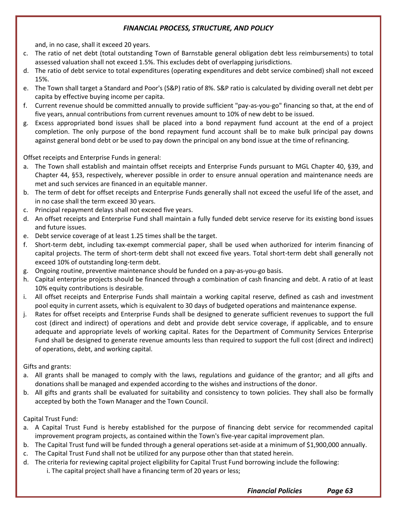and, in no case, shall it exceed 20 years.

- c. The ratio of net debt (total outstanding Town of Barnstable general obligation debt less reimbursements) to total assessed valuation shall not exceed 1.5%. This excludes debt of overlapping jurisdictions.
- d. The ratio of debt service to total expenditures (operating expenditures and debt service combined) shall not exceed 15%.
- e. The Town shall target a Standard and Poor's (S&P) ratio of 8%. S&P ratio is calculated by dividing overall net debt per capita by effective buying income per capita.
- f. Current revenue should be committed annually to provide sufficient "pay-as-you-go" financing so that, at the end of five years, annual contributions from current revenues amount to 10% of new debt to be issued.
- g. Excess appropriated bond issues shall be placed into a bond repayment fund account at the end of a project completion. The only purpose of the bond repayment fund account shall be to make bulk principal pay downs against general bond debt or be used to pay down the principal on any bond issue at the time of refinancing.

Offset receipts and Enterprise Funds in general:

- a. The Town shall establish and maintain offset receipts and Enterprise Funds pursuant to MGL Chapter 40, §39, and Chapter 44, §53, respectively, wherever possible in order to ensure annual operation and maintenance needs are met and such services are financed in an equitable manner.
- b. The term of debt for offset receipts and Enterprise Funds generally shall not exceed the useful life of the asset, and in no case shall the term exceed 30 years.
- c. Principal repayment delays shall not exceed five years.
- d. An offset receipts and Enterprise Fund shall maintain a fully funded debt service reserve for its existing bond issues and future issues.
- e. Debt service coverage of at least 1.25 times shall be the target.
- f. Short-term debt, including tax-exempt commercial paper, shall be used when authorized for interim financing of capital projects. The term of short-term debt shall not exceed five years. Total short-term debt shall generally not exceed 10% of outstanding long-term debt.
- g. Ongoing routine, preventive maintenance should be funded on a pay-as-you-go basis.
- h. Capital enterprise projects should be financed through a combination of cash financing and debt. A ratio of at least 10% equity contributions is desirable.
- i. All offset receipts and Enterprise Funds shall maintain a working capital reserve, defined as cash and investment pool equity in current assets, which is equivalent to 30 days of budgeted operations and maintenance expense.
- j. Rates for offset receipts and Enterprise Funds shall be designed to generate sufficient revenues to support the full cost (direct and indirect) of operations and debt and provide debt service coverage, if applicable, and to ensure adequate and appropriate levels of working capital. Rates for the Department of Community Services Enterprise Fund shall be designed to generate revenue amounts less than required to support the full cost (direct and indirect) of operations, debt, and working capital.

Gifts and grants:

- a. All grants shall be managed to comply with the laws, regulations and guidance of the grantor; and all gifts and donations shall be managed and expended according to the wishes and instructions of the donor.
- b. All gifts and grants shall be evaluated for suitability and consistency to town policies. They shall also be formally accepted by both the Town Manager and the Town Council.

Capital Trust Fund:

- a. A Capital Trust Fund is hereby established for the purpose of financing debt service for recommended capital improvement program projects, as contained within the Town's five-year capital improvement plan.
- b. The Capital Trust fund will be funded through a general operations set-aside at a minimum of \$1,900,000 annually.
- c. The Capital Trust Fund shall not be utilized for any purpose other than that stated herein.
- d. The criteria for reviewing capital project eligibility for Capital Trust Fund borrowing include the following: i. The capital project shall have a financing term of 20 years or less;

*Financial Policies Page 63*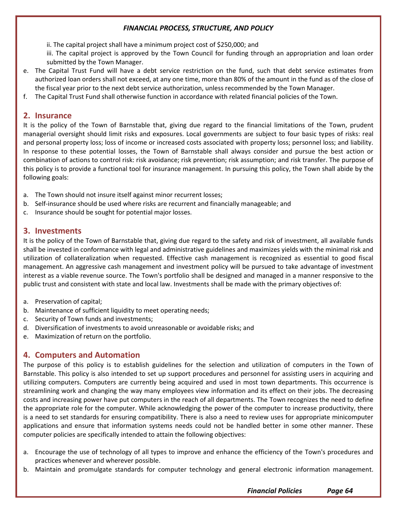ii. The capital project shall have a minimum project cost of \$250,000; and

iii. The capital project is approved by the Town Council for funding through an appropriation and loan order submitted by the Town Manager.

- e. The Capital Trust Fund will have a debt service restriction on the fund, such that debt service estimates from authorized loan orders shall not exceed, at any one time, more than 80% of the amount in the fund as of the close of the fiscal year prior to the next debt service authorization, unless recommended by the Town Manager.
- f. The Capital Trust Fund shall otherwise function in accordance with related financial policies of the Town.

# **2. Insurance**

It is the policy of the Town of Barnstable that, giving due regard to the financial limitations of the Town, prudent managerial oversight should limit risks and exposures. Local governments are subject to four basic types of risks: real and personal property loss; loss of income or increased costs associated with property loss; personnel loss; and liability. In response to these potential losses, the Town of Barnstable shall always consider and pursue the best action or combination of actions to control risk: risk avoidance; risk prevention; risk assumption; and risk transfer. The purpose of this policy is to provide a functional tool for insurance management. In pursuing this policy, the Town shall abide by the following goals:

- a. The Town should not insure itself against minor recurrent losses;
- b. Self-insurance should be used where risks are recurrent and financially manageable; and
- c. Insurance should be sought for potential major losses.

## **3. Investments**

It is the policy of the Town of Barnstable that, giving due regard to the safety and risk of investment, all available funds shall be invested in conformance with legal and administrative guidelines and maximizes yields with the minimal risk and utilization of collateralization when requested. Effective cash management is recognized as essential to good fiscal management. An aggressive cash management and investment policy will be pursued to take advantage of investment interest as a viable revenue source. The Town's portfolio shall be designed and managed in a manner responsive to the public trust and consistent with state and local law. Investments shall be made with the primary objectives of:

- a. Preservation of capital;
- b. Maintenance of sufficient liquidity to meet operating needs;
- c. Security of Town funds and investments;
- d. Diversification of investments to avoid unreasonable or avoidable risks; and
- e. Maximization of return on the portfolio.

# **4. Computers and Automation**

The purpose of this policy is to establish guidelines for the selection and utilization of computers in the Town of Barnstable. This policy is also intended to set up support procedures and personnel for assisting users in acquiring and utilizing computers. Computers are currently being acquired and used in most town departments. This occurrence is streamlining work and changing the way many employees view information and its effect on their jobs. The decreasing costs and increasing power have put computers in the reach of all departments. The Town recognizes the need to define the appropriate role for the computer. While acknowledging the power of the computer to increase productivity, there is a need to set standards for ensuring compatibility. There is also a need to review uses for appropriate minicomputer applications and ensure that information systems needs could not be handled better in some other manner. These computer policies are specifically intended to attain the following objectives:

- a. Encourage the use of technology of all types to improve and enhance the efficiency of the Town's procedures and practices whenever and wherever possible.
- b. Maintain and promulgate standards for computer technology and general electronic information management.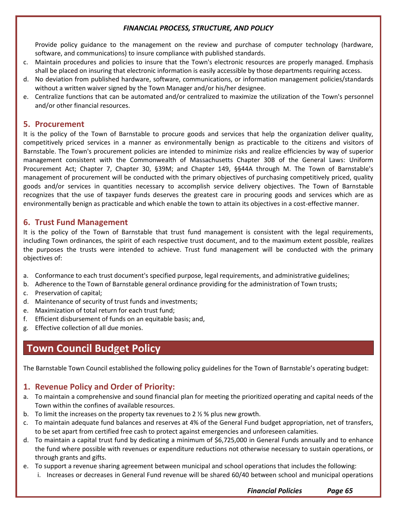Provide policy guidance to the management on the review and purchase of computer technology (hardware, software, and communications) to insure compliance with published standards.

- c. Maintain procedures and policies to insure that the Town's electronic resources are properly managed. Emphasis shall be placed on insuring that electronic information is easily accessible by those departments requiring access.
- d. No deviation from published hardware, software, communications, or information management policies/standards without a written waiver signed by the Town Manager and/or his/her designee.
- e. Centralize functions that can be automated and/or centralized to maximize the utilization of the Town's personnel and/or other financial resources.

## **5. Procurement**

It is the policy of the Town of Barnstable to procure goods and services that help the organization deliver quality, competitively priced services in a manner as environmentally benign as practicable to the citizens and visitors of Barnstable. The Town's procurement policies are intended to minimize risks and realize efficiencies by way of superior management consistent with the Commonwealth of Massachusetts Chapter 30B of the General Laws: Uniform Procurement Act; Chapter 7, Chapter 30, §39M; and Chapter 149, §§44A through M. The Town of Barnstable's management of procurement will be conducted with the primary objectives of purchasing competitively priced, quality goods and/or services in quantities necessary to accomplish service delivery objectives. The Town of Barnstable recognizes that the use of taxpayer funds deserves the greatest care in procuring goods and services which are as environmentally benign as practicable and which enable the town to attain its objectives in a cost-effective manner.

#### **6. Trust Fund Management**

It is the policy of the Town of Barnstable that trust fund management is consistent with the legal requirements, including Town ordinances, the spirit of each respective trust document, and to the maximum extent possible, realizes the purposes the trusts were intended to achieve. Trust fund management will be conducted with the primary objectives of:

- a. Conformance to each trust document's specified purpose, legal requirements, and administrative guidelines;
- b. Adherence to the Town of Barnstable general ordinance providing for the administration of Town trusts;
- c. Preservation of capital;
- d. Maintenance of security of trust funds and investments;
- e. Maximization of total return for each trust fund;
- f. Efficient disbursement of funds on an equitable basis; and,
- g. Effective collection of all due monies.

# **Town Council Budget Policy**

The Barnstable Town Council established the following policy guidelines for the Town of Barnstable's operating budget:

## **1. Revenue Policy and Order of Priority:**

- a. To maintain a comprehensive and sound financial plan for meeting the prioritized operating and capital needs of the Town within the confines of available resources.
- b. To limit the increases on the property tax revenues to 2  $\frac{1}{2}$  % plus new growth.
- c. To maintain adequate fund balances and reserves at 4% of the General Fund budget appropriation, net of transfers, to be set apart from certified free cash to protect against emergencies and unforeseen calamities.
- d. To maintain a capital trust fund by dedicating a minimum of \$6,725,000 in General Funds annually and to enhance the fund where possible with revenues or expenditure reductions not otherwise necessary to sustain operations, or through grants and gifts.
- e. To support a revenue sharing agreement between municipal and school operations that includes the following:
	- i. Increases or decreases in General Fund revenue will be shared 60/40 between school and municipal operations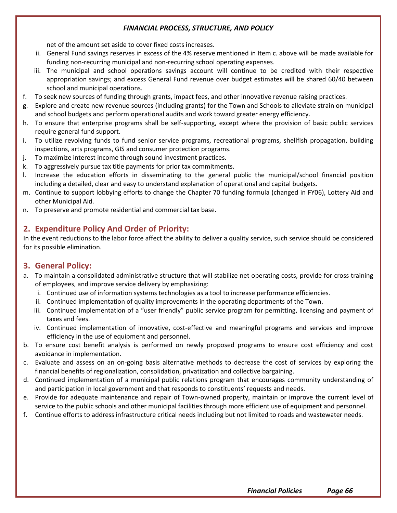net of the amount set aside to cover fixed costs increases.

- ii. General Fund savings reserves in excess of the 4% reserve mentioned in Item c. above will be made available for funding non-recurring municipal and non-recurring school operating expenses.
- iii. The municipal and school operations savings account will continue to be credited with their respective appropriation savings; and excess General Fund revenue over budget estimates will be shared 60/40 between school and municipal operations.
- f. To seek new sources of funding through grants, impact fees, and other innovative revenue raising practices.
- g. Explore and create new revenue sources (including grants) for the Town and Schools to alleviate strain on municipal and school budgets and perform operational audits and work toward greater energy efficiency.
- h. To ensure that enterprise programs shall be self-supporting, except where the provision of basic public services require general fund support.
- i. To utilize revolving funds to fund senior service programs, recreational programs, shellfish propagation, building inspections, arts programs, GIS and consumer protection programs.
- j. To maximize interest income through sound investment practices.
- k. To aggressively pursue tax title payments for prior tax commitments.
- l. Increase the education efforts in disseminating to the general public the municipal/school financial position including a detailed, clear and easy to understand explanation of operational and capital budgets.
- m. Continue to support lobbying efforts to change the Chapter 70 funding formula (changed in FY06), Lottery Aid and other Municipal Aid.
- n. To preserve and promote residential and commercial tax base.

# **2. Expenditure Policy And Order of Priority:**

In the event reductions to the labor force affect the ability to deliver a quality service, such service should be considered for its possible elimination.

# **3. General Policy:**

- a. To maintain a consolidated administrative structure that will stabilize net operating costs, provide for cross training of employees, and improve service delivery by emphasizing:
	- i. Continued use of information systems technologies as a tool to increase performance efficiencies.
	- ii. Continued implementation of quality improvements in the operating departments of the Town.
	- iii. Continued implementation of a "user friendly" public service program for permitting, licensing and payment of taxes and fees.
	- iv. Continued implementation of innovative, cost-effective and meaningful programs and services and improve efficiency in the use of equipment and personnel.
- b. To ensure cost benefit analysis is performed on newly proposed programs to ensure cost efficiency and cost avoidance in implementation.
- c. Evaluate and assess on an on-going basis alternative methods to decrease the cost of services by exploring the financial benefits of regionalization, consolidation, privatization and collective bargaining.
- d. Continued implementation of a municipal public relations program that encourages community understanding of and participation in local government and that responds to constituents' requests and needs.
- e. Provide for adequate maintenance and repair of Town-owned property, maintain or improve the current level of service to the public schools and other municipal facilities through more efficient use of equipment and personnel.
- f. Continue efforts to address infrastructure critical needs including but not limited to roads and wastewater needs.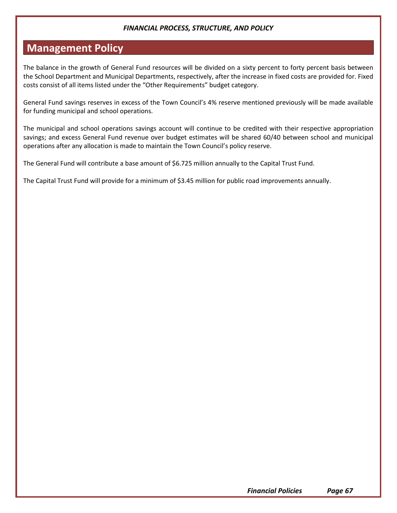# **Management Policy**

The balance in the growth of General Fund resources will be divided on a sixty percent to forty percent basis between the School Department and Municipal Departments, respectively, after the increase in fixed costs are provided for. Fixed costs consist of all items listed under the "Other Requirements" budget category.

General Fund savings reserves in excess of the Town Council's 4% reserve mentioned previously will be made available for funding municipal and school operations.

The municipal and school operations savings account will continue to be credited with their respective appropriation savings; and excess General Fund revenue over budget estimates will be shared 60/40 between school and municipal operations after any allocation is made to maintain the Town Council's policy reserve.

The General Fund will contribute a base amount of \$6.725 million annually to the Capital Trust Fund.

The Capital Trust Fund will provide for a minimum of \$3.45 million for public road improvements annually.